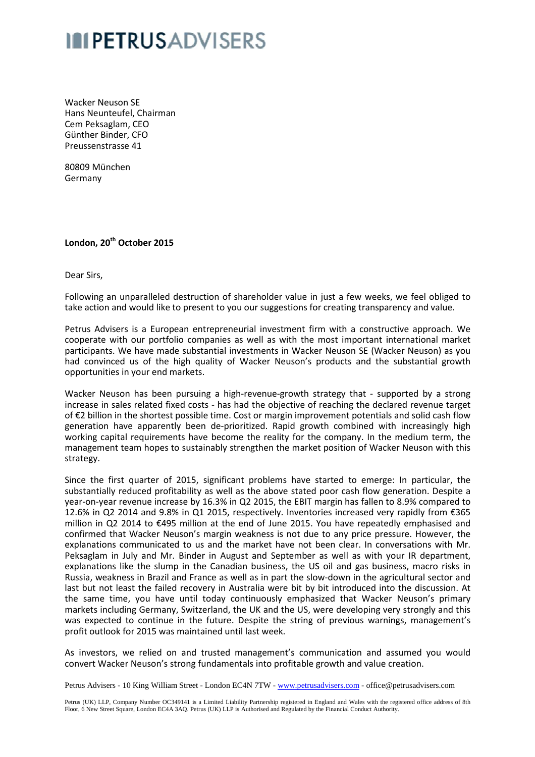## **IN PETRUSADVISERS**

Wacker Neuson SE Hans Neunteufel, Chairman Cem Peksaglam, CEO Günther Binder, CFO Preussenstrasse 41

80809 München Germany

## **London, 20th October 2015**

Dear Sirs,

Following an unparalleled destruction of shareholder value in just a few weeks, we feel obliged to take action and would like to present to you our suggestions for creating transparency and value.

Petrus Advisers is a European entrepreneurial investment firm with a constructive approach. We cooperate with our portfolio companies as well as with the most important international market participants. We have made substantial investments in Wacker Neuson SE (Wacker Neuson) as you had convinced us of the high quality of Wacker Neuson's products and the substantial growth opportunities in your end markets.

Wacker Neuson has been pursuing a high-revenue-growth strategy that - supported by a strong increase in sales related fixed costs - has had the objective of reaching the declared revenue target of €2 billion in the shortest possible time. Cost or margin improvement potentials and solid cash flow generation have apparently been de-prioritized. Rapid growth combined with increasingly high working capital requirements have become the reality for the company. In the medium term, the management team hopes to sustainably strengthen the market position of Wacker Neuson Neuson with this strategy.

Since the first quarter of 2015, significant problems have started to emerge: In particular, the substantially reduced profitability as well as the above stated poor cash flow generation. Despite a year-on-year revenue increase by 16.3% in Q2 2015, the EBIT margin has fallen to 8.9% compared to 12.6% in Q2 2014 and 9.8% in Q1 2015, respectively. Inventories increased very rapidly from €365 million in Q2 2014 to €495 million at the end of June 2015. You have repeatedly emphasised and confirmed that Wacker Neuson's margin weakness is not due to any price pressure. However, the explanations communicated to us and the market have not been clear. In conversations with Mr. Peksaglam in July and Mr. Binder in August and September as well as with your IR department, explanations like the slump in the Canadian business, the US oil and gas business, macro risks in Russia, weakness in Brazil and France as well as in part the slow-down in the agricultural sector and last but not least the failed recovery in Australia were bit by bit introduced into the discussion. the same time, you have until today continuously emphasized that Wacker Neuson's primary markets including Germany, Switzerland, the UK and the US, were developing very strongly and this was expected to continue in the future. Despite the string of previous warnings, management's profit outlook for 2015 was maintained until last week. In conversations with Mr.<br>
Is with your IR department,<br>
In the agricultural sector and<br>
In the agricultural sector and<br>
Inced into the discussion. At

As investors, we relied on and trusted management's communication and assumed you would convert Wacker Neuson's strong fundamentals into profitable growth and value creation.

Petrus Advisers - 10 King William Street - London EC4N 7TW - www.petrusadvisers.com - office@petrusadvisers.com

Petrus (UK) LLP, Company Number OC349141 is a Limited Liability Partnership registered in England and Wales with the registered office address of 8th Floor, 6 New Street Square, London EC4A 3AQ. Petrus (UK) LLP is Authorised and Regulated by the Financial Conduct Authority.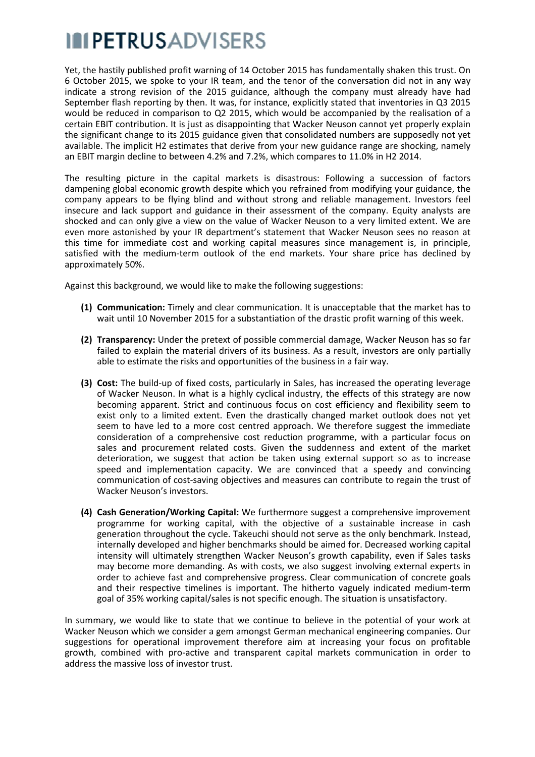## **IN PETRUS ADVISERS**

Yet, the hastily published profit warning of 14 October 2015 has fundamentally shaken this trust. On 6 October 2015, we spoke to your IR team, and the tenor of the conversation did not in any way indicate a strong revision of the 2015 guidance, although the company must already have had September flash reporting by then. It was, for instance, explicitly stated that inventories in Q3 2015 would be reduced in comparison to Q2 2015, which would be accompanied by the realisation of a<br>certain EBIT contribution. It is just as disappointing that Wacker Neuson cannot yet properly explain certain EBIT contribution. It is just as disappointing that Wacker Neuson cannot yet the significant change to its 2015 guidance given that consolidated numbers are supposedly not yet available. The implicit H2 estimates that derive from your new guidance range are shocking, namely an EBIT margin decline to between 4.2% and 7.2%, which compares to 11.0% in H H2 2014.

The resulting picture in the capital markets is disastrous: Following a succession of factors dampening global economic growth despite which you refrained from modifying your guidance, the company appears to be flying blind and without strong and reliable management. Investors feel insecure and lack support and guidance in their assessment of the company. Equity analysts are shocked and can only give a view on the value of Wacker Neuson to a very limited extent. We are even more astonished by your IR department's statement that Wacker Neuson sees no reason at even more astonished by your IR department's statement that Wacker Neuson sees no reason at<br>this time for immediate cost and working capital measures since management is, in principle, satisfied with the medium-term outlook of the end markets. Your share price has declined by approximately 50%.

Against this background, we would like to make the following suggestions:

- (1) Communication: Timely and clear communication. It is unacceptable that the market has to wait until 10 November 2015 for a substantiation of the drastic profit warning of this week.
- **(2) Transparency:** Under the pretext of possible commercial damage, Wacker Neuson h has so far failed to explain the material drivers of its business. As a result, investors are only partially<br>able to estimate the risks and opportunities of the business in a fair way.<br>Cost: The build-up of fixed costs, particularly able to estimate the risks and opportunities of the business in a fair way.
- **(3) Cost:** The build-up of fixed costs, particularly in Sales, has increased the operating l of Wacker Neuson. In what is a highly cyclical industry, the effects of this strategy are now becoming apparent. Strict and continuous focus on cost efficiency and flexibility seem to exist only to a limited extent. Even the drastically changed market outlook does not yet seem to have led to a more cost centred approach. We therefore suggest the immediate consideration of a comprehensive cost reduction programme, with a particular focus on sales and procurement related costs. Given the suddenness and extent of the market deterioration, we suggest that action be taken using external support so as to increase speed and implementation capacity. We are convinced that a speedy and convincing communication of cost-saving objectives and measures can contribute to regain the trust of Wacker Neuson's investors.
- (4) Cash Generation/Working Capital: We furthermore suggest a comprehensive improvement programme for working capital, with the objective of a sustainable increase in cash generation throughout the cycle. Takeuchi should not serve as the only benchmark. Instead, internally developed and higher benchmarks should be aimed for. Decreased working capital internally developed and higher benchmarks should be aimed for. Decreased working capital<br>intensity will ultimately strengthen Wacker Neuson's growth capability, even if Sales tasks may become more demanding. As with costs, we also suggest involving external experts in order to achieve fast and comprehensive progress. Clear communication of concrete goals and their respective timelines is important. The hitherto vaguely indicated medium-term goal of 35% working capital/sales is not specific enough. The situation is unsatisfactory unsatisfactory.

In summary, we would like to state that we continue to believe in the potential of your work at Wacker Neuson which we consider a gem amongst German mechanical engineering companies. Our suggestions for operational improvement therefore aim at increasing your focus on profitable growth, combined with pro-active and transparent capital markets communication in order to address the massive loss of investor trust.